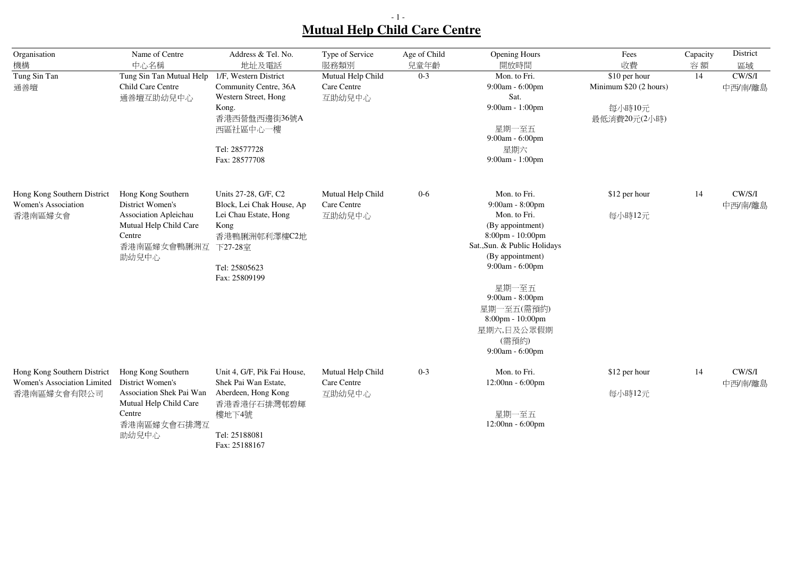## - 1 - **Mutual Help Child Care Centre**

| Organisation                                                              | Name of Centre                                                                                                                 | Address & Tel. No.                                                                                                                                     | Type of Service                                    | Age of Child    | <b>Opening Hours</b>                                                                                                                                                                                                                                                                                       | Fees                                                                    | Capacity | District                |
|---------------------------------------------------------------------------|--------------------------------------------------------------------------------------------------------------------------------|--------------------------------------------------------------------------------------------------------------------------------------------------------|----------------------------------------------------|-----------------|------------------------------------------------------------------------------------------------------------------------------------------------------------------------------------------------------------------------------------------------------------------------------------------------------------|-------------------------------------------------------------------------|----------|-------------------------|
| 機構<br>Tung Sin Tan<br>通善壇                                                 | 中心名稱<br>Tung Sin Tan Mutual Help<br>Child Care Centre<br>通善壇互助幼兒中心                                                             | 地址及電話<br>1/F, Western District<br>Community Centre, 36A<br>Western Street, Hong<br>Kong.<br>香港西營盤西邊街36號A<br>西區社區中心一樓<br>Tel: 28577728<br>Fax: 28577708 | 服務類別<br>Mutual Help Child<br>Care Centre<br>互助幼兒中心 | 兒童年齡<br>$0 - 3$ | 開放時間<br>Mon. to Fri.<br>9:00am - 6:00pm<br>Sat.<br>9:00am - 1:00pm<br>星期一至五<br>9:00am - 6:00pm<br>星期六<br>9:00am - 1:00pm                                                                                                                                                                                   | 收費<br>\$10 per hour<br>Minimum \$20 (2 hours)<br>每小時10元<br>最低消費20元(2小時) | 容額<br>14 | 區域<br>CW/S/I<br>中西/南/離島 |
| Hong Kong Southern District<br>Women's Association<br>香港南區婦女會             | Hong Kong Southern<br>District Women's<br>Association Apleichau<br>Mutual Help Child Care<br>Centre<br>香港南區婦女會鴨脷洲互<br>助幼兒中心    | Units 27-28, G/F, C2<br>Block, Lei Chak House, Ap<br>Lei Chau Estate, Hong<br>Kong<br>香港鴨脷洲邨利澤樓C2地<br>下27-28室<br>Tel: 25805623<br>Fax: 25809199        | Mutual Help Child<br>Care Centre<br>互助幼兒中心         | $0-6$           | Mon. to Fri.<br>9:00am - 8:00pm<br>Mon. to Fri.<br>(By appointment)<br>$8:00 \text{pm} - 10:00 \text{pm}$<br>Sat., Sun. & Public Holidays<br>(By appointment)<br>9:00am - 6:00pm<br>星期一至五<br>9:00am - 8:00pm<br>星期一至五(需預約)<br>$8:00 \text{pm} - 10:00 \text{pm}$<br>星期六,日及公眾假期<br>(需預約)<br>9:00am - 6:00pm | \$12 per hour<br>每小時12元                                                 | 14       | CW/S/I<br>中西/南/離島       |
| Hong Kong Southern District<br>Women's Association Limited<br>香港南區婦女會有限公司 | Hong Kong Southern<br>District Women's<br>Association Shek Pai Wan<br>Mutual Help Child Care<br>Centre<br>香港南區婦女會石排灣互<br>助幼兒中心 | Unit 4, G/F, Pik Fai House,<br>Shek Pai Wan Estate,<br>Aberdeen, Hong Kong<br>香港香港仔石排灣邨碧輝<br>樓地下4號<br>Tel: 25188081<br>Fax: 25188167                   | Mutual Help Child<br>Care Centre<br>互助幼兒中心         | $0 - 3$         | Mon. to Fri.<br>12:00nn - 6:00pm<br>星期一至五<br>$12:00nn - 6:00pm$                                                                                                                                                                                                                                            | \$12 per hour<br>每小時12元                                                 | 14       | CW/S/I<br>中西/南/離島       |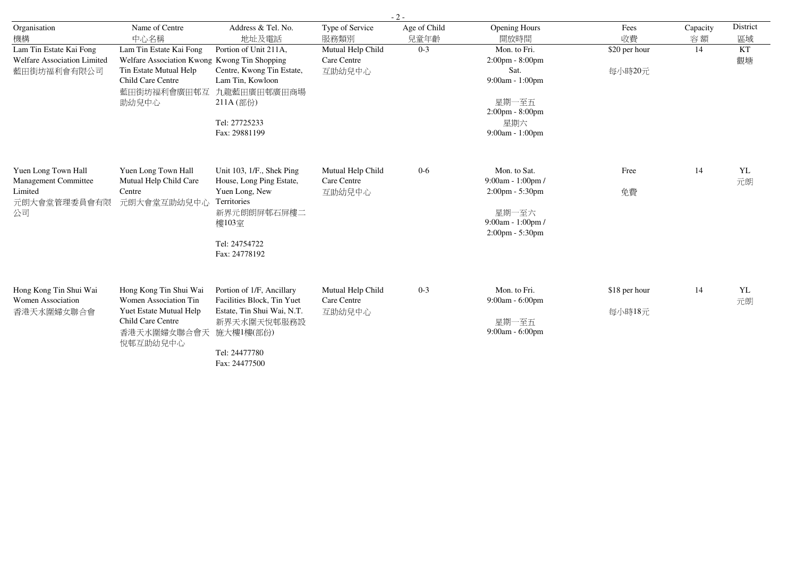|                                                                              | $-2-$                                                                                                                                          |                                                                                                                                                     |                                            |                      |                                                                                                                         |                         |                |                |  |  |
|------------------------------------------------------------------------------|------------------------------------------------------------------------------------------------------------------------------------------------|-----------------------------------------------------------------------------------------------------------------------------------------------------|--------------------------------------------|----------------------|-------------------------------------------------------------------------------------------------------------------------|-------------------------|----------------|----------------|--|--|
| Organisation<br>機構                                                           | Name of Centre<br>中心名稱                                                                                                                         | Address & Tel. No.<br>地址及電話                                                                                                                         | Type of Service<br>服務類別                    | Age of Child<br>兒童年齡 | <b>Opening Hours</b><br>開放時間                                                                                            | Fees<br>收費              | Capacity<br>容額 | District<br>區域 |  |  |
| Lam Tin Estate Kai Fong<br><b>Welfare Association Limited</b><br>藍田街坊福利會有限公司 | Lam Tin Estate Kai Fong<br>Welfare Association Kwong Kwong Tin Shopping<br>Tin Estate Mutual Help<br>Child Care Centre<br>藍田街坊福利會廣田邨互<br>助幼兒中心 | Portion of Unit 211A,<br>Centre, Kwong Tin Estate,<br>Lam Tin, Kowloon<br>九龍藍田廣田邨廣田商場<br>211A (部份)<br>Tel: 27725233<br>Fax: 29881199                | Mutual Help Child<br>Care Centre<br>互助幼兒中心 | $0 - 3$              | Mon. to Fri.<br>2:00pm - 8:00pm<br>Sat.<br>9:00am - 1:00pm<br>星期一至五<br>$2:00$ pm - $8:00$ pm<br>星期六<br>9:00am - 1:00pm  | \$20 per hour<br>每小時20元 | 14             | KT<br>觀塘       |  |  |
| Yuen Long Town Hall<br>Management Committee<br>Limited<br>元朗大會堂管理委員會有限<br>公司 | Yuen Long Town Hall<br>Mutual Help Child Care<br>Centre<br>元朗大會堂互助幼兒中心                                                                         | Unit 103, 1/F., Shek Ping<br>House, Long Ping Estate,<br>Yuen Long, New<br>Territories<br>新界元朗朗屏邨石屏樓二<br>樓103室<br>Tel: 24754722<br>Fax: 24778192    | Mutual Help Child<br>Care Centre<br>互助幼兒中心 | $0-6$                | Mon. to Sat.<br>9:00am - 1:00pm /<br>$2:00 \text{pm} - 5:30 \text{pm}$<br>星期一至六<br>9:00am - 1:00pm /<br>2:00pm - 5:30pm | Free<br>免費              | 14             | YL<br>元朗       |  |  |
| Hong Kong Tin Shui Wai<br>Women Association<br>香港天水圍婦女聯合會                    | Hong Kong Tin Shui Wai<br>Women Association Tin<br>Yuet Estate Mutual Help<br>Child Care Centre<br>香港天水圍婦女聯合會天<br>悦邨互助幼兒中心                     | Portion of 1/F, Ancillary<br>Facilities Block, Tin Yuet<br>Estate, Tin Shui Wai, N.T.<br>新界天水圍天悅邨服務設<br>施大樓1樓(部份)<br>Tel: 24477780<br>Fax: 24477500 | Mutual Help Child<br>Care Centre<br>互助幼兒中心 | $0 - 3$              | Mon. to Fri.<br>9:00am - 6:00pm<br>星期一至五<br>$9:00am - 6:00pm$                                                           | \$18 per hour<br>每小時18元 | 14             | YL<br>元朗       |  |  |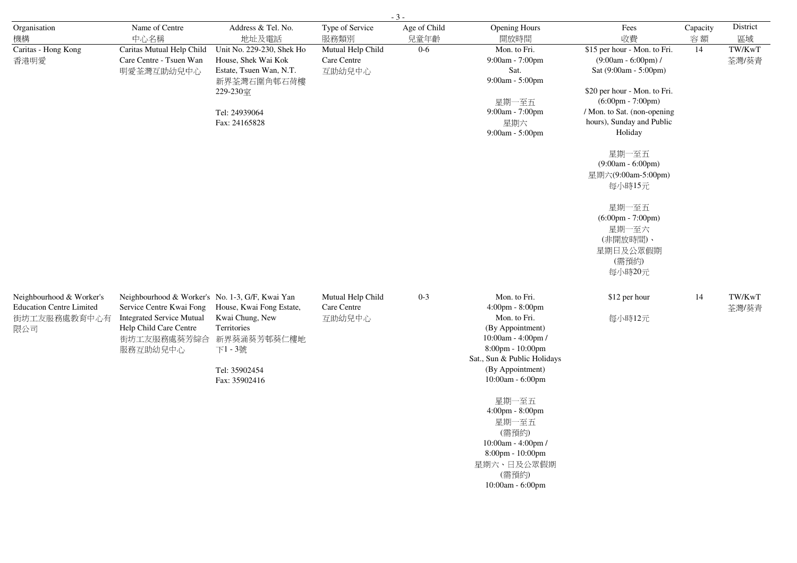| $-3-$                                                                              |                                                                                                                                                       |                                                                                                                                          |                                            |                      |                                                                                                                                                                                      |                                                                                                                                                                                                                                                                                                                                                       |                |                 |  |  |
|------------------------------------------------------------------------------------|-------------------------------------------------------------------------------------------------------------------------------------------------------|------------------------------------------------------------------------------------------------------------------------------------------|--------------------------------------------|----------------------|--------------------------------------------------------------------------------------------------------------------------------------------------------------------------------------|-------------------------------------------------------------------------------------------------------------------------------------------------------------------------------------------------------------------------------------------------------------------------------------------------------------------------------------------------------|----------------|-----------------|--|--|
| Organisation<br>機構                                                                 | Name of Centre<br>中心名稱                                                                                                                                | Address & Tel. No.<br>地址及電話                                                                                                              | Type of Service<br>服務類別                    | Age of Child<br>兒童年齡 | <b>Opening Hours</b><br>開放時間                                                                                                                                                         | Fees<br>收費                                                                                                                                                                                                                                                                                                                                            | Capacity<br>容額 | District<br>區域  |  |  |
| Caritas - Hong Kong<br>香港明愛                                                        | Caritas Mutual Help Child<br>Care Centre - Tsuen Wan<br>明愛荃灣互助幼兒中心                                                                                    | Unit No. 229-230, Shek Ho<br>House, Shek Wai Kok<br>Estate, Tsuen Wan, N.T.<br>新界荃灣石圍角邨石荷樓<br>229-230室<br>Tel: 24939064<br>Fax: 24165828 | Mutual Help Child<br>Care Centre<br>互助幼兒中心 | $0 - 6$              | Mon. to Fri.<br>9:00am - 7:00pm<br>Sat.<br>9:00am - 5:00pm<br>星期一至五<br>9:00am - 7:00pm<br>星期六<br>9:00am - 5:00pm                                                                     | \$15 per hour - Mon. to Fri.<br>$(9:00am - 6:00pm)$ /<br>Sat (9:00am - 5:00pm)<br>\$20 per hour - Mon. to Fri.<br>$(6:00 \text{pm} - 7:00 \text{pm})$<br>/ Mon. to Sat. (non-opening<br>hours), Sunday and Public<br>Holiday<br>星期一至五<br>$(9:00am - 6:00pm)$<br>星期六(9:00am-5:00pm)<br>每小時15元<br>星期一至五<br>$(6:00 \text{pm} - 7:00 \text{pm})$<br>星期一至六 | 14             | TW/KwT<br>荃灣/葵青 |  |  |
|                                                                                    |                                                                                                                                                       |                                                                                                                                          |                                            |                      |                                                                                                                                                                                      | (非開放時間)、<br>星期日及公眾假期<br>(需預約)<br>每小時20元                                                                                                                                                                                                                                                                                                               |                |                 |  |  |
| Neighbourhood & Worker's<br><b>Education Centre Limited</b><br>街坊工友服務處教育中心有<br>限公司 | Neighbourhood & Worker's No. 1-3, G/F, Kwai Yan<br>Service Centre Kwai Fong<br><b>Integrated Service Mutual</b><br>Help Child Care Centre<br>服務互助幼兒中心 | House, Kwai Fong Estate,<br>Kwai Chung, New<br>Territories<br>街坊工友服務處葵芳綜合 新界葵涌葵芳邨葵仁樓地<br>下1-3號<br>Tel: 35902454<br>Fax: 35902416         | Mutual Help Child<br>Care Centre<br>互助幼兒中心 | $0 - 3$              | Mon. to Fri.<br>4:00pm - 8:00pm<br>Mon. to Fri.<br>(By Appointment)<br>10:00am - 4:00pm /<br>8:00pm - 10:00pm<br>Sat., Sun & Public Holidays<br>(By Appointment)<br>10:00am - 6:00pm | \$12 per hour<br>每小時12元                                                                                                                                                                                                                                                                                                                               | 14             | TW/KwT<br>荃灣/葵青 |  |  |
|                                                                                    |                                                                                                                                                       |                                                                                                                                          |                                            |                      | 星期一至五<br>4:00pm - 8:00pm<br>星期一至五<br>(需預約)<br>$10:00am - 4:00pm/$<br>8:00pm - 10:00pm<br>星期六、日及公眾假期<br>(需預約)<br>$10:00am - 6:00pm$                                                   |                                                                                                                                                                                                                                                                                                                                                       |                |                 |  |  |